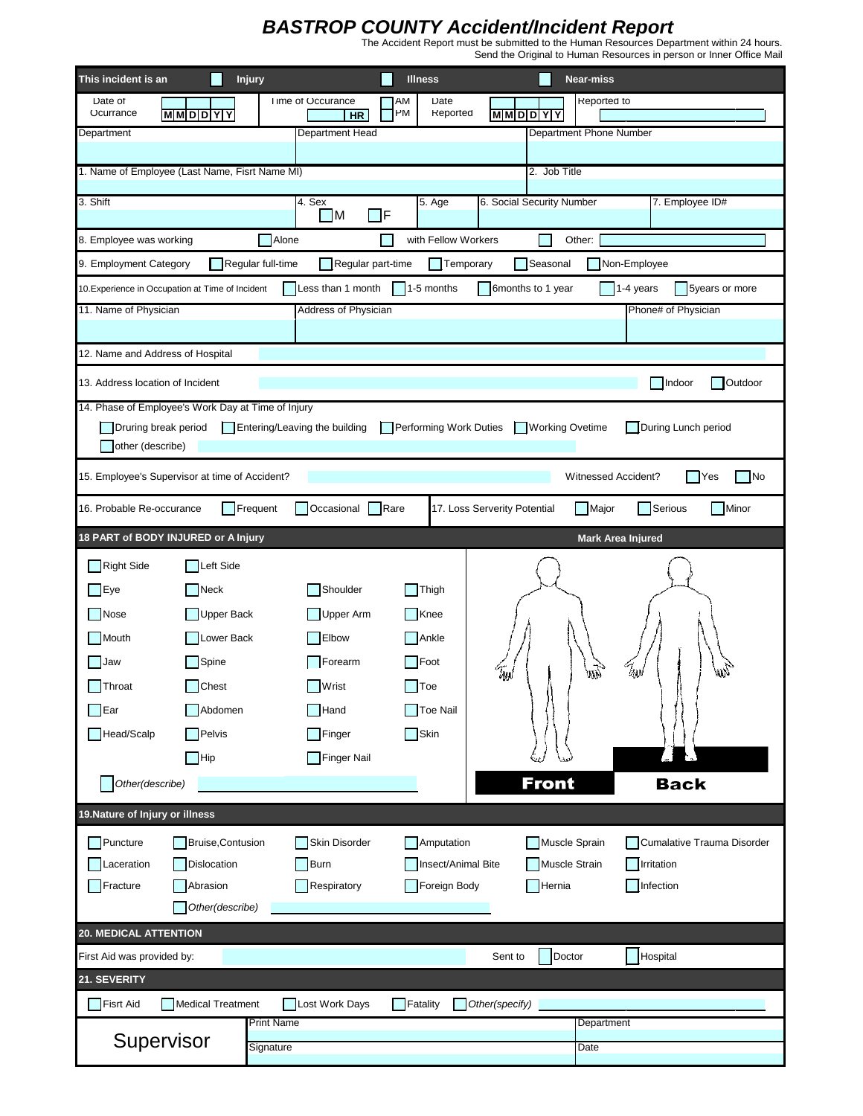## *BASTROP COUNTY Accident/Incident Report* The Accident Report must be submitted to the Human Resources Department within 24 hours.

Send the Original to Human Resources in person or Inner Office Mail

| Date<br>Reported to<br>Date of<br>Time of Occurance<br>АM<br>PM<br>Ocurrance<br>Reported<br><b>MMDDYY</b><br><b>MMDDYY</b>                                  |           |
|-------------------------------------------------------------------------------------------------------------------------------------------------------------|-----------|
| <b>HR</b><br>Department Phone Number<br>Department Head<br>Department                                                                                       |           |
|                                                                                                                                                             |           |
| 1. Name of Employee (Last Name, Fisrt Name MI)<br>2. Job Title                                                                                              |           |
| 3. Shift<br>4. Sex<br>6. Social Security Number<br>7. Employee ID#<br>5. Age<br>$\Box$ F<br>$\blacksquare$                                                  |           |
| with Fellow Workers<br>Other:<br>8. Employee was working<br>Alone                                                                                           |           |
| 9. Employment Category<br>Regular full-time<br>Regular part-time<br>Temporary<br>Seasonal<br>Non-Employee                                                   |           |
| Less than 1 month<br>$\vert$ 1-5 months<br>6months to 1 year<br>1-4 years<br>10. Experience in Occupation at Time of Incident<br>5years or more             |           |
| 11. Name of Physician<br><b>Address of Physician</b><br>Phone# of Physician                                                                                 |           |
|                                                                                                                                                             |           |
| 12. Name and Address of Hospital                                                                                                                            |           |
| 13. Address location of Incident<br>Indoor                                                                                                                  | Outdoor   |
| 14. Phase of Employee's Work Day at Time of Injury                                                                                                          |           |
| During Lunch period<br>Druring break period<br>Entering/Leaving the building<br><b>Performing Work Duties</b><br><b>Working Ovetime</b><br>other (describe) |           |
|                                                                                                                                                             |           |
| 15. Employee's Supervisor at time of Accident?<br>Witnessed Accident?<br>- IYes                                                                             | <b>No</b> |
| Occasional<br>Rare<br>17. Loss Serverity Potential<br>Serious<br>16. Probable Re-occurance<br>Frequent<br>Major                                             | Minor     |
| 18 PART of BODY INJURED or A Injury<br><b>Mark Area Injured</b>                                                                                             |           |
| <b>Right Side</b><br>Left Side                                                                                                                              |           |
| Shoulder<br>Eye<br>Neck<br>Thigh                                                                                                                            |           |
|                                                                                                                                                             |           |
| <b>Upper Back</b><br><b>Nose</b><br>Upper Arm<br>Knee                                                                                                       |           |
| Lower Back<br>$\n  7$ Ankle<br>Mouth<br><b>Elbow</b>                                                                                                        |           |
| $\Box$ Spine<br>Forearm<br>$\overline{\phantom{a}}$ Foot<br>Jaw                                                                                             |           |
| $\mathcal{I}_{\text{MN}}$<br>Tysl<br>EW)<br>w<br>$\Box$ Chest<br>Wrist<br>$\Box$ Toe<br>Throat                                                              |           |
| Ear<br>Abdomen<br>$\mathsf{\overline{\mathsf{H}}}$ Hand<br>Toe Nail                                                                                         |           |
| Head/Scalp<br>Skin<br>Pelvis<br>Finger                                                                                                                      |           |
| $\Box$ Hip<br>Finger Nail                                                                                                                                   |           |
| <b>Front</b><br><b>Back</b><br>Other(describe)                                                                                                              |           |
| 19. Nature of Injury or illness                                                                                                                             |           |
| Skin Disorder<br>Puncture<br><b>Bruise, Contusion</b><br>Amputation<br>Muscle Sprain<br>Cumalative Trauma Disorder                                          |           |
| Insect/Animal Bite<br>Muscle Strain<br><b>Irritation</b><br>Laceration<br>Dislocation<br><b>Burn</b>                                                        |           |
| $\overline{\phantom{a}}$ Fracture<br>Respiratory<br>Foreign Body<br>Infection<br>Abrasion<br>Hernia                                                         |           |
| Other(describe)                                                                                                                                             |           |
| <b>20. MEDICAL ATTENTION</b>                                                                                                                                |           |
| Doctor<br>Hospital<br>First Aid was provided by:<br>Sent to                                                                                                 |           |
| 21. SEVERITY                                                                                                                                                |           |
| <b>Fisrt Aid</b><br><b>Medical Treatment</b><br>Lost Work Days<br>Fatality<br>Other(specify)<br><b>Print Name</b><br>Department                             |           |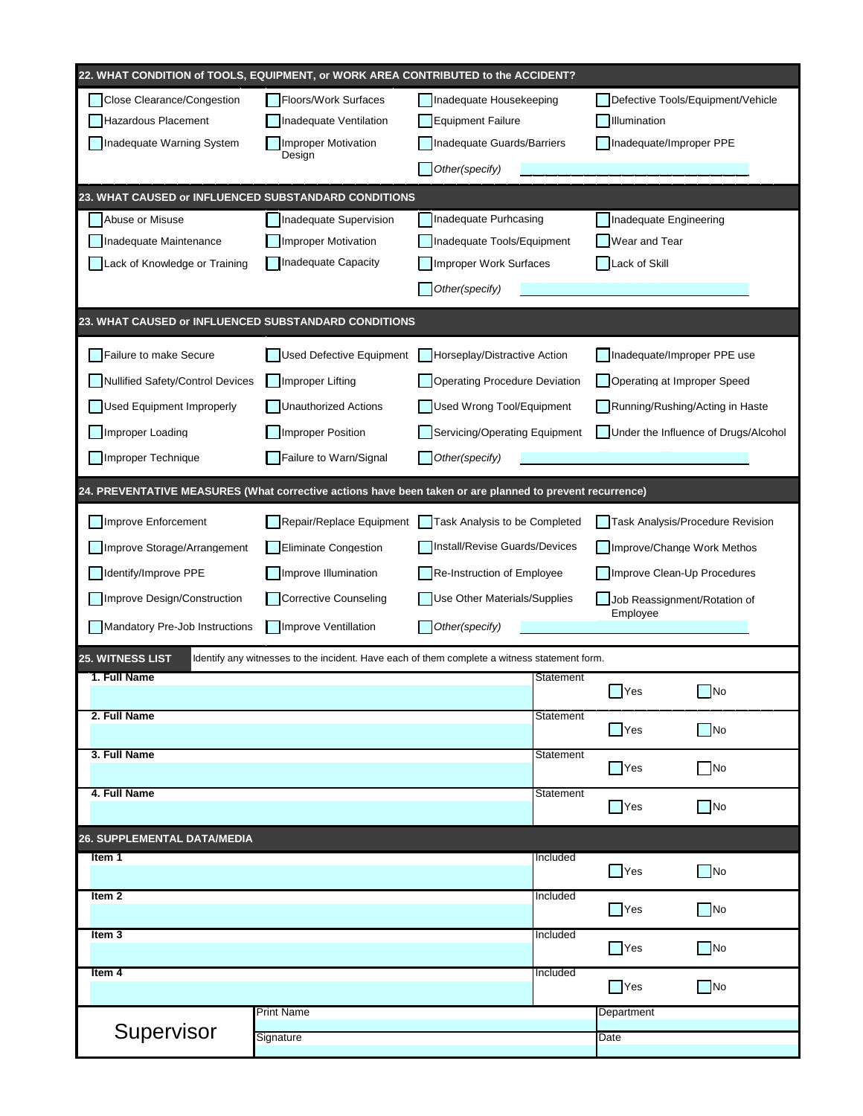|                                                                                                                  | 22. WHAT CONDITION of TOOLS, EQUIPMENT, or WORK AREA CONTRIBUTED to the ACCIDENT? |                               |           |                                  |                                      |  |
|------------------------------------------------------------------------------------------------------------------|-----------------------------------------------------------------------------------|-------------------------------|-----------|----------------------------------|--------------------------------------|--|
| Close Clearance/Congestion                                                                                       | Floors/Work Surfaces                                                              | Inadequate Housekeeping       |           |                                  | Defective Tools/Equipment/Vehicle    |  |
| Hazardous Placement                                                                                              | Inadequate Ventilation                                                            | <b>Equipment Failure</b>      |           | Illumination                     |                                      |  |
| Inadequate Warning System                                                                                        | <b>Improper Motivation</b><br>Design                                              | Inadequate Guards/Barriers    |           | Inadequate/Improper PPE          |                                      |  |
|                                                                                                                  |                                                                                   | Other(specify)                |           |                                  |                                      |  |
| 23. WHAT CAUSED or INFLUENCED SUBSTANDARD CONDITIONS                                                             |                                                                                   |                               |           |                                  |                                      |  |
| Abuse or Misuse                                                                                                  | Inadequate Supervision                                                            | Inadequate Purhcasing         |           | Inadequate Engineering           |                                      |  |
| Inadequate Maintenance                                                                                           | <b>Improper Motivation</b>                                                        | Inadequate Tools/Equipment    |           | Wear and Tear                    |                                      |  |
| Lack of Knowledge or Training                                                                                    | Inadequate Capacity                                                               | Improper Work Surfaces        |           | Lack of Skill                    |                                      |  |
|                                                                                                                  |                                                                                   | Other(specify)                |           |                                  |                                      |  |
| 23. WHAT CAUSED or INFLUENCED SUBSTANDARD CONDITIONS                                                             |                                                                                   |                               |           |                                  |                                      |  |
| Failure to make Secure                                                                                           | <b>Used Defective Equipment</b>                                                   | Horseplay/Distractive Action  |           | Inadequate/Improper PPE use      |                                      |  |
| Nullified Safety/Control Devices                                                                                 | <b>Improper Lifting</b>                                                           | Operating Procedure Deviation |           | Operating at Improper Speed      |                                      |  |
| Used Equipment Improperly                                                                                        | <b>Unauthorized Actions</b>                                                       | Used Wrong Tool/Equipment     |           | Running/Rushing/Acting in Haste  |                                      |  |
| Improper Loading                                                                                                 | <b>Improper Position</b>                                                          | Servicing/Operating Equipment |           |                                  | Under the Influence of Drugs/Alcohol |  |
| Improper Technique                                                                                               | Failure to Warn/Signal                                                            | Other(specify)                |           |                                  |                                      |  |
| 24. PREVENTATIVE MEASURES (What corrective actions have been taken or are planned to prevent recurrence)         |                                                                                   |                               |           |                                  |                                      |  |
| Improve Enforcement                                                                                              | Repair/Replace Equipment                                                          | Task Analysis to be Completed |           | Task Analysis/Procedure Revision |                                      |  |
| Improve Storage/Arrangement                                                                                      | <b>Eliminate Congestion</b>                                                       | Install/Revise Guards/Devices |           | Improve/Change Work Methos       |                                      |  |
| Identify/Improve PPE                                                                                             | Improve Illumination                                                              | Re-Instruction of Employee    |           | Improve Clean-Up Procedures      |                                      |  |
| Improve Design/Construction                                                                                      | <b>Corrective Counseling</b>                                                      | Use Other Materials/Supplies  |           | Job Reassignment/Rotation of     |                                      |  |
| Mandatory Pre-Job Instructions                                                                                   | Improve Ventillation                                                              | Other(specify)                |           | Employee                         |                                      |  |
| 25. WITNESS LIST<br>Identify any witnesses to the incident. Have each of them complete a witness statement form. |                                                                                   |                               |           |                                  |                                      |  |
| 1. Full Name                                                                                                     |                                                                                   |                               | Statement |                                  |                                      |  |
|                                                                                                                  |                                                                                   |                               |           | $\Box$ Yes                       | No                                   |  |
| 2. Full Name                                                                                                     |                                                                                   |                               | Statement | $\Box$ Yes                       | $\Box$ No                            |  |
| 3. Full Name                                                                                                     |                                                                                   |                               | Statement | $\blacksquare$ Yes               | $\Box$ No                            |  |
| 4. Full Name                                                                                                     |                                                                                   |                               | Statement |                                  |                                      |  |
|                                                                                                                  |                                                                                   |                               |           | $\Box$ Yes                       | $\Box$ No                            |  |
| <b>26. SUPPLEMENTAL DATA/MEDIA</b>                                                                               |                                                                                   |                               |           |                                  |                                      |  |
| Item 1                                                                                                           |                                                                                   |                               | Included  | $\Box$ Yes                       | $\Box$ No                            |  |
| Item <sub>2</sub>                                                                                                |                                                                                   |                               | Included  |                                  |                                      |  |
|                                                                                                                  |                                                                                   |                               |           | $\Box$ Yes                       | $\Box$ No                            |  |
| Item $3$                                                                                                         |                                                                                   |                               | Included  | $\Box$ Yes                       | $\Box$ No                            |  |
| Item 4                                                                                                           |                                                                                   |                               | Included  | <b>Nes</b>                       | $\Box$ No                            |  |
|                                                                                                                  | <b>Print Name</b>                                                                 |                               |           | Department                       |                                      |  |
| Supervisor                                                                                                       | Signature                                                                         |                               |           | Date                             |                                      |  |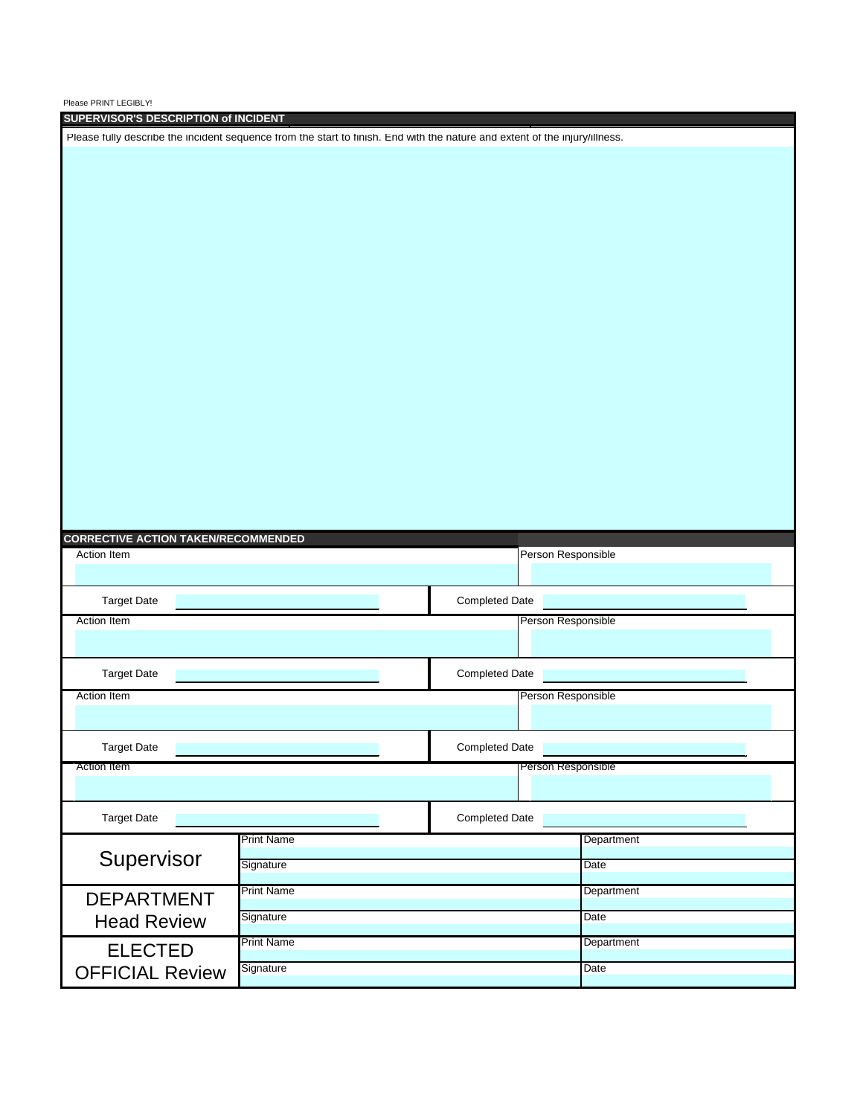| SUPERVISOR'S DESCRIPTION of INCIDENT                                                                                        |                   |                       |            |  |  |
|-----------------------------------------------------------------------------------------------------------------------------|-------------------|-----------------------|------------|--|--|
| Please fully describe the incident sequence from the start to finish. End with the nature and extent of the injury/illness. |                   |                       |            |  |  |
|                                                                                                                             |                   |                       |            |  |  |
|                                                                                                                             |                   |                       |            |  |  |
|                                                                                                                             |                   |                       |            |  |  |
|                                                                                                                             |                   |                       |            |  |  |
|                                                                                                                             |                   |                       |            |  |  |
|                                                                                                                             |                   |                       |            |  |  |
|                                                                                                                             |                   |                       |            |  |  |
|                                                                                                                             |                   |                       |            |  |  |
|                                                                                                                             |                   |                       |            |  |  |
|                                                                                                                             |                   |                       |            |  |  |
|                                                                                                                             |                   |                       |            |  |  |
|                                                                                                                             |                   |                       |            |  |  |
|                                                                                                                             |                   |                       |            |  |  |
|                                                                                                                             |                   |                       |            |  |  |
|                                                                                                                             |                   |                       |            |  |  |
|                                                                                                                             |                   |                       |            |  |  |
|                                                                                                                             |                   |                       |            |  |  |
|                                                                                                                             |                   |                       |            |  |  |
|                                                                                                                             |                   |                       |            |  |  |
| <b>CORRECTIVE ACTION TAKEN/RECOMMENDED</b>                                                                                  |                   |                       |            |  |  |
| Action Item                                                                                                                 |                   | Person Responsible    |            |  |  |
|                                                                                                                             |                   |                       |            |  |  |
| <b>Target Date</b>                                                                                                          |                   | <b>Completed Date</b> |            |  |  |
| Action Item                                                                                                                 |                   | Person Responsible    |            |  |  |
|                                                                                                                             |                   |                       |            |  |  |
|                                                                                                                             |                   |                       |            |  |  |
| <b>Target Date</b>                                                                                                          |                   | <b>Completed Date</b> |            |  |  |
| <b>Action Item</b>                                                                                                          |                   | Person Responsible    |            |  |  |
|                                                                                                                             |                   |                       |            |  |  |
|                                                                                                                             |                   | <b>Completed Date</b> |            |  |  |
| <b>Target Date</b>                                                                                                          |                   |                       |            |  |  |
| Action Item                                                                                                                 |                   | Person Responsible    |            |  |  |
|                                                                                                                             |                   |                       |            |  |  |
| <b>Target Date</b>                                                                                                          |                   | <b>Completed Date</b> |            |  |  |
|                                                                                                                             | <b>Print Name</b> |                       |            |  |  |
|                                                                                                                             |                   |                       | Department |  |  |
| Supervisor                                                                                                                  | Signature         |                       | Date       |  |  |
|                                                                                                                             | <b>Print Name</b> |                       | Department |  |  |
| <b>DEPARTMENT</b>                                                                                                           |                   |                       |            |  |  |
| <b>Head Review</b>                                                                                                          | Signature         |                       | Date       |  |  |
| <b>ELECTED</b>                                                                                                              | <b>Print Name</b> |                       | Department |  |  |
| <b>OFFICIAL Review</b>                                                                                                      | Signature         |                       | Date       |  |  |
|                                                                                                                             |                   |                       |            |  |  |

Please PRINT LEGIBLY!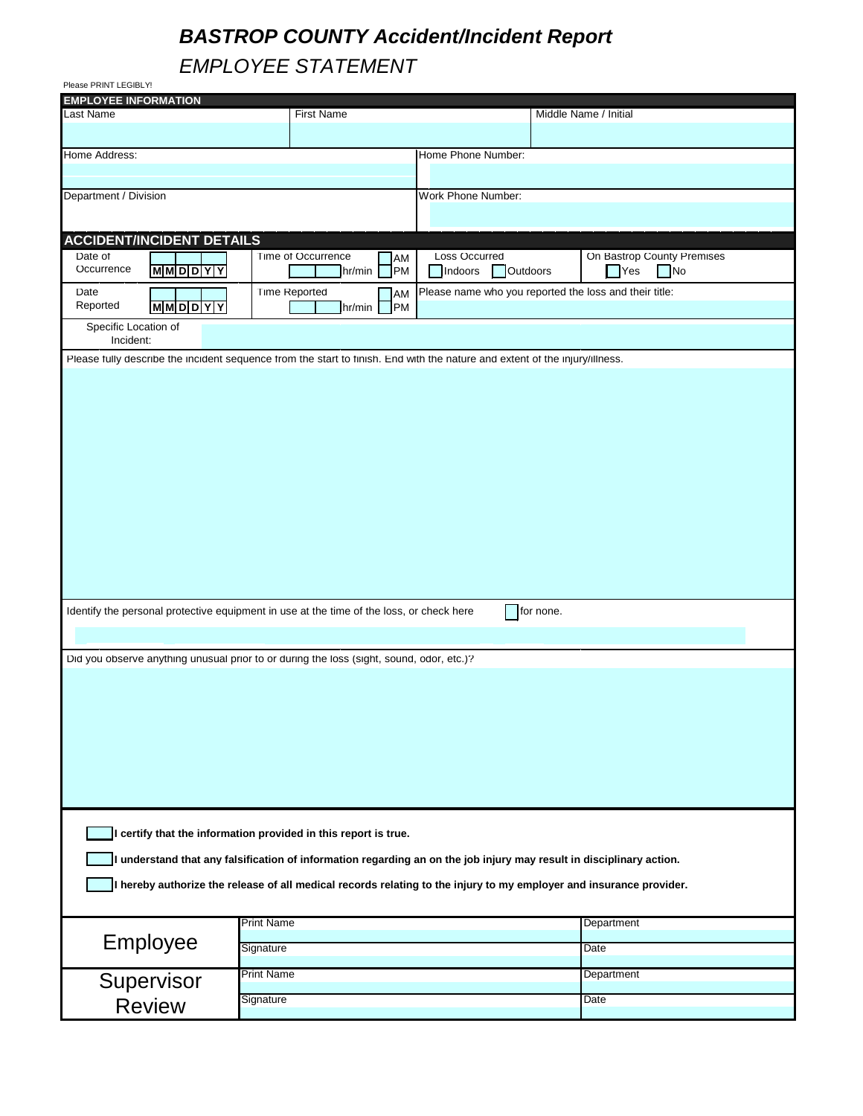## *BASTROP COUNTY Accident/Incident Report*

*EMPLOYEE STATEMENT*

| Please PRINT LEGIBLY!                                                                                                       |                           |                     |                                                        |           |                            |  |  |
|-----------------------------------------------------------------------------------------------------------------------------|---------------------------|---------------------|--------------------------------------------------------|-----------|----------------------------|--|--|
| <b>EMPLOYEE INFORMATION</b>                                                                                                 |                           |                     |                                                        |           |                            |  |  |
| Last Name                                                                                                                   |                           | <b>First Name</b>   |                                                        |           | Middle Name / Initial      |  |  |
|                                                                                                                             |                           |                     |                                                        |           |                            |  |  |
| Home Address:                                                                                                               |                           |                     | Home Phone Number:                                     |           |                            |  |  |
|                                                                                                                             |                           |                     |                                                        |           |                            |  |  |
| Department / Division                                                                                                       |                           |                     | Work Phone Number:                                     |           |                            |  |  |
|                                                                                                                             |                           |                     |                                                        |           |                            |  |  |
| <b>ACCIDENT/INCIDENT DETAILS</b>                                                                                            |                           |                     |                                                        |           |                            |  |  |
| Date of                                                                                                                     | <b>Time of Occurrence</b> | AM                  | <b>Loss Occurred</b>                                   |           | On Bastrop County Premises |  |  |
| Occurrence<br><b>MMDDYY</b>                                                                                                 |                           | <b>PM</b><br>hr/min | Indoors<br><b>Outdoors</b>                             |           | <b>Yes</b><br>No           |  |  |
| Date                                                                                                                        | <b>Time Reported</b>      | AM                  | Please name who you reported the loss and their title: |           |                            |  |  |
| Reported<br><b>MMDDYY</b>                                                                                                   |                           | <b>PM</b><br>hr/min |                                                        |           |                            |  |  |
| Specific Location of                                                                                                        |                           |                     |                                                        |           |                            |  |  |
| Incident:                                                                                                                   |                           |                     |                                                        |           |                            |  |  |
| Please fully describe the incident sequence from the start to finish. End with the nature and extent of the injury/illness. |                           |                     |                                                        |           |                            |  |  |
|                                                                                                                             |                           |                     |                                                        |           |                            |  |  |
|                                                                                                                             |                           |                     |                                                        |           |                            |  |  |
|                                                                                                                             |                           |                     |                                                        |           |                            |  |  |
|                                                                                                                             |                           |                     |                                                        |           |                            |  |  |
|                                                                                                                             |                           |                     |                                                        |           |                            |  |  |
|                                                                                                                             |                           |                     |                                                        |           |                            |  |  |
|                                                                                                                             |                           |                     |                                                        |           |                            |  |  |
|                                                                                                                             |                           |                     |                                                        |           |                            |  |  |
|                                                                                                                             |                           |                     |                                                        |           |                            |  |  |
|                                                                                                                             |                           |                     |                                                        |           |                            |  |  |
|                                                                                                                             |                           |                     |                                                        |           |                            |  |  |
|                                                                                                                             |                           |                     |                                                        |           |                            |  |  |
|                                                                                                                             |                           |                     |                                                        |           |                            |  |  |
|                                                                                                                             |                           |                     |                                                        |           |                            |  |  |
| Identify the personal protective equipment in use at the time of the loss, or check here                                    |                           |                     |                                                        | for none. |                            |  |  |
|                                                                                                                             |                           |                     |                                                        |           |                            |  |  |
|                                                                                                                             |                           |                     |                                                        |           |                            |  |  |
| Did you observe anything unusual prior to or during the loss (sight, sound, odor, etc.)?                                    |                           |                     |                                                        |           |                            |  |  |
|                                                                                                                             |                           |                     |                                                        |           |                            |  |  |
|                                                                                                                             |                           |                     |                                                        |           |                            |  |  |
|                                                                                                                             |                           |                     |                                                        |           |                            |  |  |
|                                                                                                                             |                           |                     |                                                        |           |                            |  |  |
|                                                                                                                             |                           |                     |                                                        |           |                            |  |  |
|                                                                                                                             |                           |                     |                                                        |           |                            |  |  |
|                                                                                                                             |                           |                     |                                                        |           |                            |  |  |
|                                                                                                                             |                           |                     |                                                        |           |                            |  |  |
|                                                                                                                             |                           |                     |                                                        |           |                            |  |  |
| I certify that the information provided in this report is true.                                                             |                           |                     |                                                        |           |                            |  |  |
| I understand that any falsification of information regarding an on the job injury may result in disciplinary action.        |                           |                     |                                                        |           |                            |  |  |
|                                                                                                                             |                           |                     |                                                        |           |                            |  |  |
| I hereby authorize the release of all medical records relating to the injury to my employer and insurance provider.         |                           |                     |                                                        |           |                            |  |  |
|                                                                                                                             |                           |                     |                                                        |           |                            |  |  |
|                                                                                                                             | <b>Print Name</b>         |                     |                                                        |           | Department                 |  |  |
| Employee                                                                                                                    | Signature                 |                     |                                                        |           | Date                       |  |  |
|                                                                                                                             |                           |                     |                                                        |           |                            |  |  |
| Supervisor                                                                                                                  | <b>Print Name</b>         |                     |                                                        |           | Department                 |  |  |
| <b>Review</b>                                                                                                               | Signature                 |                     |                                                        |           | Date                       |  |  |
|                                                                                                                             |                           |                     |                                                        |           |                            |  |  |